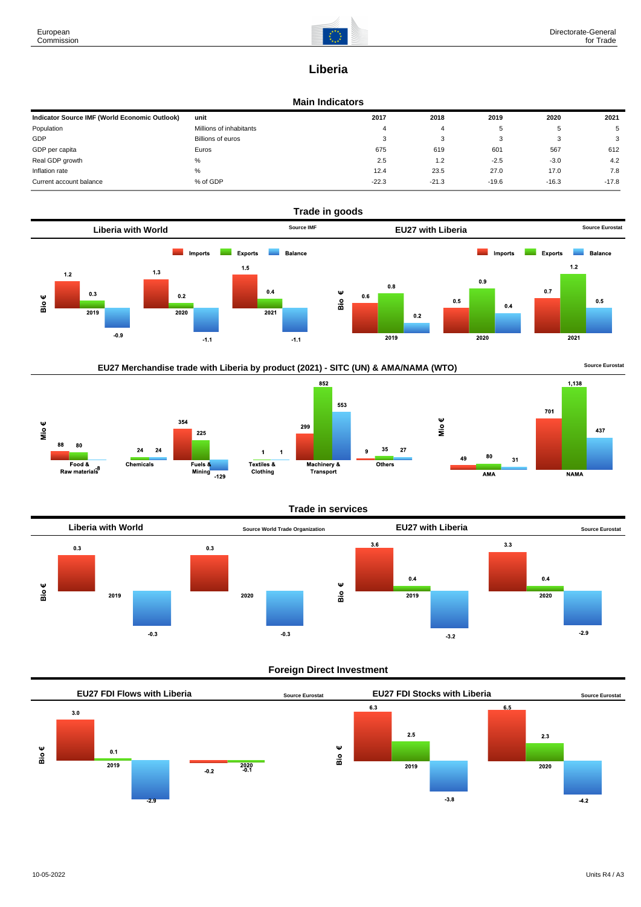

# **Liberia**

#### **Main Indicators**

| Indicator Source IMF (World Economic Outlook) | unit                    | 2017    | 2018    | 2019    | 2020    | 2021    |
|-----------------------------------------------|-------------------------|---------|---------|---------|---------|---------|
| Population                                    | Millions of inhabitants |         |         |         | h       |         |
| GDP                                           | Billions of euros       |         |         |         |         | 3       |
| GDP per capita                                | Euros                   | 675     | 619     | 601     | 567     | 612     |
| Real GDP growth                               | %                       | 2.5     | 1.2     | $-2.5$  | $-3.0$  | 4.2     |
| Inflation rate                                | %                       | 12.4    | 23.5    | 27.0    | 17.0    | 7.8     |
| Current account balance                       | % of GDP                | $-22.3$ | $-21.3$ | $-19.6$ | $-16.3$ | $-17.8$ |











## **Trade in services**

 $27$ 



## **Foreign Direct Investment**